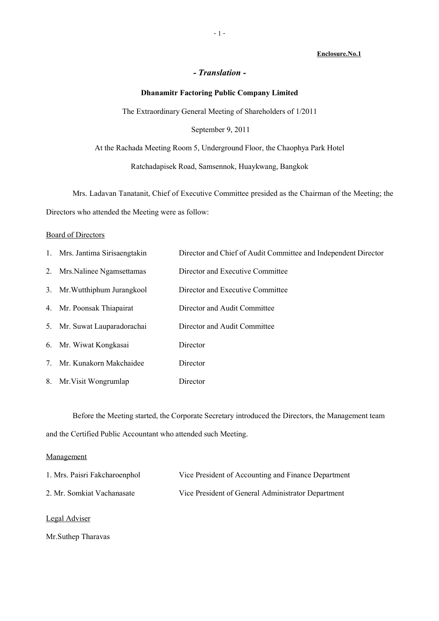### **Enclosure.No.1**

## *- Translation -*

### **Dhanamitr Factoring Public Company Limited**

The Extraordinary General Meeting of Shareholders of 1/2011

## September 9, 2011

At the Rachada Meeting Room 5, Underground Floor, the Chaophya Park Hotel

Ratchadapisek Road, Samsennok, Huaykwang, Bangkok

Mrs. Ladavan Tanatanit, Chief of Executive Committee presided as the Chairman of the Meeting; the Directors who attended the Meeting were as follow:

### Board of Directors

|    | 1. Mrs. Jantima Sirisaengtakin | Director and Chief of Audit Committee and Independent Director |
|----|--------------------------------|----------------------------------------------------------------|
|    | 2. Mrs. Nalinee Ngamsettamas   | Director and Executive Committee                               |
|    | 3. Mr. Wutthiphum Jurangkool   | Director and Executive Committee                               |
|    | 4. Mr. Poonsak Thiapairat      | Director and Audit Committee                                   |
|    | 5. Mr. Suwat Lauparadorachai   | Director and Audit Committee                                   |
|    | 6. Mr. Wiwat Kongkasai         | Director                                                       |
| 7. | Mr. Kunakorn Makchaidee        | Director                                                       |
|    | 8. Mr. Visit Wongrumlap        | Director                                                       |

Before the Meeting started, the Corporate Secretary introduced the Directors, the Management team and the Certified Public Accountant who attended such Meeting.

### Management

| 1. Mrs. Paisri Fakcharoenphol | Vice President of Accounting and Finance Department |
|-------------------------------|-----------------------------------------------------|
| 2. Mr. Somkiat Vachanasate    | Vice President of General Administrator Department  |

## Legal Adviser

Mr.Suthep Tharavas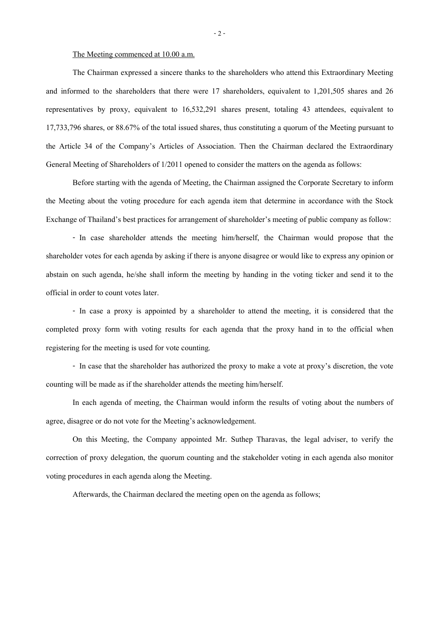#### The Meeting commenced at 10.00 a.m.

The Chairman expressed a sincere thanks to the shareholders who attend this Extraordinary Meeting and informed to the shareholders that there were 17 shareholders, equivalent to 1,201,505 shares and 26 representatives by proxy, equivalent to 16,532,291 shares present, totaling 43 attendees, equivalent to 17,733,796 shares, or 88.67% of the total issued shares, thus constituting a quorum of the Meeting pursuant to the Article 34 of the Company's Articles of Association. Then the Chairman declared the Extraordinary General Meeting of Shareholders of 1/2011 opened to consider the matters on the agenda as follows:

Before starting with the agenda of Meeting, the Chairman assigned the Corporate Secretary to inform the Meeting about the voting procedure for each agenda item that determine in accordance with the Stock Exchange of Thailand's best practices for arrangement of shareholder's meeting of public company as follow:

- In case shareholder attends the meeting him/herself, the Chairman would propose that the shareholder votes for each agenda by asking if there is anyone disagree or would like to express any opinion or abstain on such agenda, he/she shall inform the meeting by handing in the voting ticker and send it to the official in order to count votes later.

- In case a proxy is appointed by a shareholder to attend the meeting, it is considered that the completed proxy form with voting results for each agenda that the proxy hand in to the official when registering for the meeting is used for vote counting.

- In case that the shareholder has authorized the proxy to make a vote at proxy's discretion, the vote counting will be made as if the shareholder attends the meeting him/herself.

In each agenda of meeting, the Chairman would inform the results of voting about the numbers of agree, disagree or do not vote for the Meeting's acknowledgement.

On this Meeting, the Company appointed Mr. Suthep Tharavas, the legal adviser, to verify the correction of proxy delegation, the quorum counting and the stakeholder voting in each agenda also monitor voting procedures in each agenda along the Meeting.

Afterwards, the Chairman declared the meeting open on the agenda as follows;

- 2 -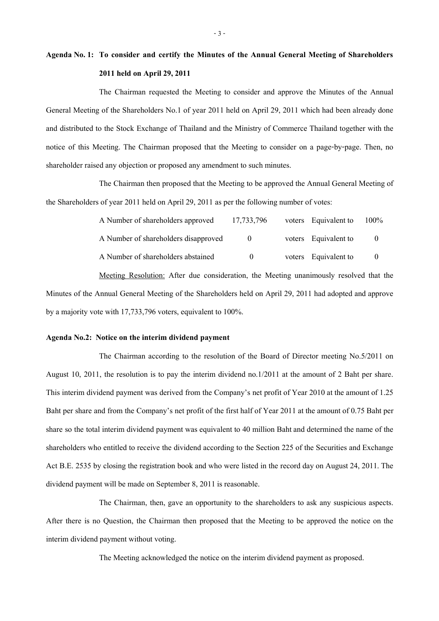# **Agenda No. 1: To consider and certify the Minutes of the Annual General Meeting of Shareholders 2011 held on April 29, 2011**

The Chairman requested the Meeting to consider and approve the Minutes of the Annual General Meeting of the Shareholders No.1 of year 2011 held on April 29, 2011 which had been already done and distributed to the Stock Exchange of Thailand and the Ministry of Commerce Thailand together with the notice of this Meeting. The Chairman proposed that the Meeting to consider on a page-by-page. Then, no shareholder raised any objection or proposed any amendment to such minutes.

The Chairman then proposed that the Meeting to be approved the Annual General Meeting of the Shareholders of year  $2011$  held on April 29,  $2011$  as per the following number of votes:

| A Number of shareholders approved    | 17,733,796 | voters Equivalent to | 100%     |
|--------------------------------------|------------|----------------------|----------|
| A Number of shareholders disapproved | $\theta$   | voters Equivalent to | $\theta$ |
| A Number of shareholders abstained   | $\theta$   | voters Equivalent to |          |

Meeting Resolution: After due consideration, the Meeting unanimously resolved that the Minutes of the Annual General Meeting of the Shareholders held on April 29, 2011 had adopted and approve by a majority vote with 17,733,796 voters, equivalent to 100%.

### **Agenda No.2: Notice on the interim dividend payment**

The Chairman according to the resolution of the Board of Director meeting No.5/2011 on August 10, 2011, the resolution is to pay the interim dividend no.1/2011 at the amount of 2 Baht per share. This interim dividend payment was derived from the Company's net profit of Year 2010 at the amount of 1.25 Baht per share and from the Company's net profit of the first half of Year 2011 at the amount of 0.75 Baht per share so the total interim dividend payment was equivalent to 40 million Bahtand determined the name of the shareholders who entitled to receive the dividend according to the Section 225 of the Securities and Exchange Act B.E. 2535 by closing the registration book and who were listed in the record day on August 24, 2011. The dividend payment will be made on September 8, 2011 is reasonable.

The Chairman, then, gave an opportunity to the shareholders to ask any suspicious aspects. After there is no Question, the Chairman then proposed that the Meeting to be approved the notice on the interim dividend payment without voting.

The Meeting acknowledged the notice on the interim dividend payment as proposed.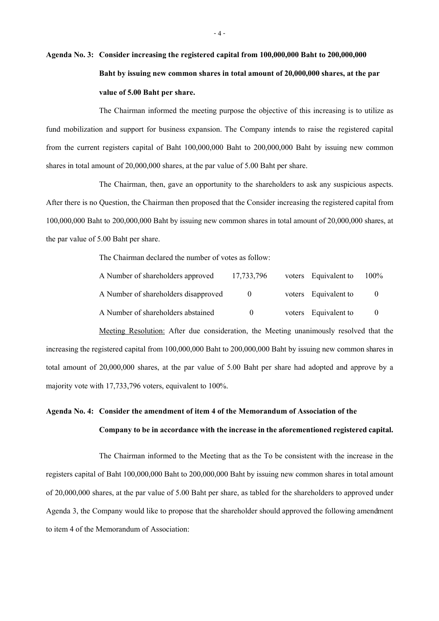# **Agenda No. 3: Consider increasing the registered capital from 100,000,000 Baht to 200,000,000 Baht by issuing new common shares in total amount of 20,000,000 shares, at the par value of 5.00 Baht per share.**

The Chairman informed the meeting purpose the objective of this increasing is to utilize as fund mobilization and support for business expansion. The Company intends to raise the registered capital from the current registers capital of Baht 100,000,000 Baht to 200,000,000 Baht by issuing new common shares in total amount of 20,000,000 shares, at the par value of 5.00 Baht per share.

The Chairman, then, gave an opportunity to the shareholders to ask any suspicious aspects. After there is no Question, the Chairman then proposed that the Consider increasing the registered capital from 100,000,000 Baht to 200,000,000 Baht by issuing new common shares in total amount of 20,000,000 shares, at the par value of 5.00 Baht per share.

The Chairman declared the number of votes as follow:

| A Number of shareholders approved    | 17,733,796   | voters Equivalent to | $100\%$ |
|--------------------------------------|--------------|----------------------|---------|
| A Number of shareholders disapproved | $\theta$     | voters Equivalent to | 0       |
| A Number of shareholders abstained   | $\mathbf{0}$ | voters Equivalent to |         |

Meeting Resolution: After due consideration, the Meeting unanimously resolved that the increasing the registered capital from 100,000,000 Baht to 200,000,000 Baht by issuing new common shares in total amount of 20,000,000 shares, at the par value of 5.00 Baht per share had adopted and approve by a majority vote with 17,733,796 voters, equivalent to 100%.

# **Agenda No.4: Consider the amendment of item 4 of the Memorandum of Association of the Company to be in accordance with the increase in the aforementioned registered capital.**

The Chairman informed to the Meeting that as the To be consistent with the increase in the registers capital of Baht 100,000,000 Baht to 200,000,000 Baht by issuing new common shares in total amount of 20,000,000 shares, at the par value of 5.00 Baht per share, as tabled for the shareholders to approved under Agenda 3, the Company would like to propose that the shareholder should approved the following amendment to item 4 of the Memorandum of Association: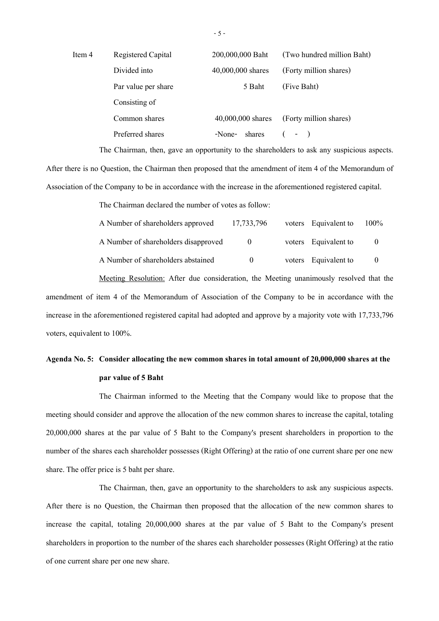| Item 4 | Registered Capital  | 200,000,000 Baht  | (Two hundred million Baht) |
|--------|---------------------|-------------------|----------------------------|
|        | Divided into        | 40,000,000 shares | (Forty million shares)     |
|        | Par value per share | 5 Baht            | (Five Baht)                |
|        | Consisting of       |                   |                            |
|        | Common shares       | 40,000,000 shares | (Forty million shares)     |
|        | Preferred shares    | shares<br>-None-  | $($ - $)$                  |

The Chairman, then, gave an opportunity to the shareholders to ask any suspicious aspects.

After there is no Question, the Chairman then proposed that the amendment of item 4 of the Memorandum of Association of the Company to be in accordance with the increase in the aforementioned registered capital.

The Chairman declared the number of votes as follow:

| A Number of shareholders approved    | 17,733,796   | voters Equivalent to | $100\%$  |
|--------------------------------------|--------------|----------------------|----------|
| A Number of shareholders disapproved | $\theta$     | voters Equivalent to | $\theta$ |
| A Number of shareholders abstained   | $\mathbf{U}$ | voters Equivalent to | $\theta$ |

Meeting Resolution: After due consideration, the Meeting unanimously resolved that the amendment of item 4 of the Memorandum of Association of the Company to be in accordance with the increase in the aforementioned registered capital had adopted and approve by a majority vote with 17,733,796 voters, equivalent to 100%.

## **Agenda No.5: Consider allocating the new common shares in total amount of 20,000,000 shares at the par value of 5 Baht**

The Chairman informed to the Meeting that the Company would like to propose that the meeting should consider and approve the allocation of the new common shares to increase the capital, totaling 20,000,000 shares at the par value of 5 Baht to the Company's present shareholders in proportion to the number of the shares each shareholder possesses (Right Offering) at the ratio of one current share per one new share. The offer price is 5 baht per share.

The Chairman, then, gave an opportunity to the shareholders to ask any suspicious aspects. After there is no Question, the Chairman then proposed that the allocation of the new common shares to increase the capital, totaling 20,000,000 shares at the par value of 5 Baht to the Company's present shareholders in proportion to the number of the shares each shareholder possesses (Right Offering) at the ratio of one current share per one new share.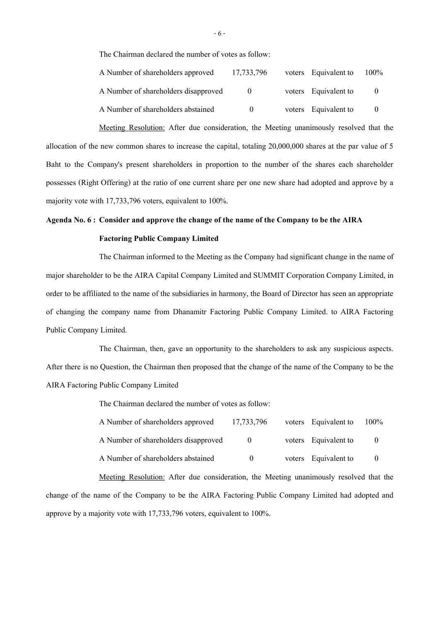The Chairman declared the number of votes as follow:

| A Number of shareholders approved    | 17,733,796 | voters Equivalent to | $100\%$  |
|--------------------------------------|------------|----------------------|----------|
| A Number of shareholders disapproved | $\Omega$   | voters Equivalent to | $\theta$ |
| A Number of shareholders abstained   | $\Omega$   | voters Equivalent to | $\theta$ |

Meeting Resolution: After due consideration, the Meeting unanimously resolved that the allocation of the new common shares to increase the capital, totaling 20,000,000 shares at the par value of 5 Baht to the Company's present shareholders in proportion to the number of the shares each shareholder possesses (Right Offering) at the ratio of one current share per one new share had adopted and approve by a majority vote with 17,733,796 voters, equivalent to 100%.

### **Agenda No. 6 : Consider and approve the change of the name of the Company to be the AIRA**

### **Factoring Public Company Limited**

The Chairman informed to the Meeting as the Company had significant change in the name of major shareholder to be the AIRA Capital Company Limited and SUMMIT Corporation Company Limited, in order to be affiliated to the name of the subsidiaries in harmony, the Board of Director has seen an appropriate of changing the company name from Dhanamitr Factoring Public Company Limited. to AIRA Factoring Public Company Limited.

The Chairman, then, gave an opportunity to the shareholders to ask any suspicious aspects. After there is no Question, the Chairman then proposed that the change of the name of the Company to be the AIRA Factoring Public Company Limited

The Chairman declared the number of votes as follow:

| A Number of shareholders approved    | 17,733,796 | voters Equivalent to | 100% |
|--------------------------------------|------------|----------------------|------|
| A Number of shareholders disapproved | $\theta$   | voters Equivalent to |      |
| A Number of shareholders abstained   | $\theta$   | voters Equivalent to |      |

Meeting Resolution: After due consideration, the Meeting unanimously resolved that the change of the name of the Company to be the AIRA Factoring Public Company Limited had adopted and approve by a majority vote with 17,733,796 voters, equivalent to 100%.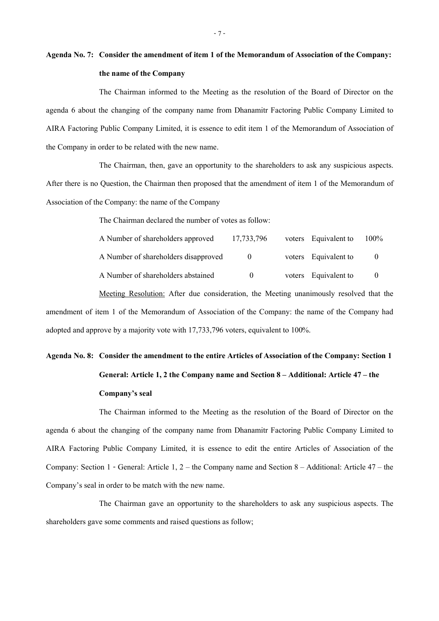# **Agenda No.7: Consider the amendment of item 1 of the Memorandum of Association of the Company: the name of the Company**

The Chairman informed to the Meeting as the resolution of the Board of Director on the agenda 6 about the changing of the company name from Dhanamitr Factoring Public Company Limited to AIRA Factoring Public Company Limited, it is essence to edit item 1 of the Memorandum of Association of the Company in order to be related with the new name.

The Chairman, then, gave an opportunity to the shareholders to ask any suspicious aspects. After there is no Question, the Chairman then proposed that the amendment of item 1 of the Memorandum of Association of the Company: the name of the Company

The Chairman declared the number of votes as follow:

| A Number of shareholders approved    | 17,733,796 | voters Equivalent to | 100% |
|--------------------------------------|------------|----------------------|------|
| A Number of shareholders disapproved | $\theta$   | voters Equivalent to |      |
| A Number of shareholders abstained   | $\theta$   | voters Equivalent to |      |

Meeting Resolution: After due consideration, the Meeting unanimously resolved that the amendment of item 1 of the Memorandum of Association of the Company: the name of the Company had adopted and approve by a majority vote with 17,733,796 voters, equivalent to 100%.

# **Agenda No.8: Consider the amendment to the entire Articles of Association of the Company: Section 1 General: Article 1, 2 the Company name and Section 8 – Additional: Article 47 – the Company's seal**

The Chairman informed to the Meeting as the resolution of the Board of Director on the agenda 6 about the changing of the company name from Dhanamitr Factoring Public Company Limited to AIRA Factoring Public Company Limited, it is essence to edit the entire Articles of Association of the Company: Section 1 - General: Article 1, 2 – the Company name and Section 8 – Additional: Article 47 – the Company's seal in order to be match with the new name.

The Chairman gave an opportunity to the shareholders to ask any suspicious aspects. The shareholders gave some comments and raised questions as follow;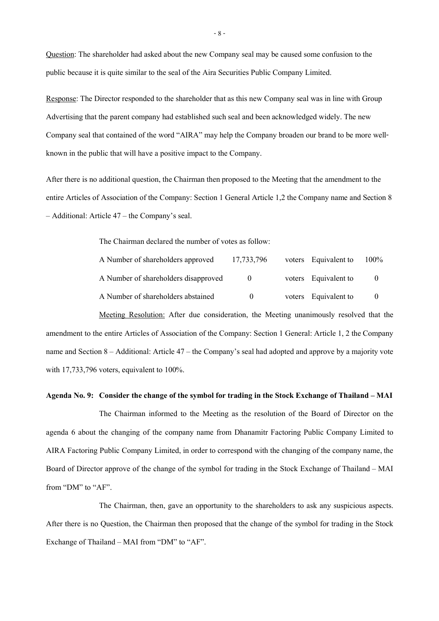Question: The shareholder had asked about the new Company seal may be caused some confusion to the public because it is quite similar to the seal of the Aira Securities Public Company Limited.

Response: The Director responded to the shareholder that as this new Company seal was in line with Group Advertising that the parent company had established such seal and been acknowledged widely. The new Company seal that contained of the word "AIRA" may help the Company broaden our brand to be more wellknown in the public that will have a positive impact to the Company.

After there is no additional question, the Chairman then proposed to the Meeting that the amendment to the entire Articles of Association of the Company: Section 1 General Article 1,2 the Company name and Section 8 – Additional: Article 47 – the Company's seal.

The Chairman declared the number of votes as follow:

| A Number of shareholders approved    | 17,733,796 | voters Equivalent to | $100\%$ |
|--------------------------------------|------------|----------------------|---------|
| A Number of shareholders disapproved | $\Omega$   | voters Equivalent to |         |
| A Number of shareholders abstained   | $\Omega$   | voters Equivalent to |         |

Meeting Resolution: After due consideration, the Meeting unanimously resolved that the amendment to the entire Articles of Association of the Company: Section 1 General: Article 1, 2 the Company name and Section 8 – Additional: Article 47 – the Company's seal had adopted and approve by a majority vote with 17,733,796 voters, equivalent to 100%.

#### **Agenda No. 9: Consider the change of the symbol for trading in the Stock Exchange of Thailand – MAI**

The Chairman informed to the Meeting as the resolution of the Board of Director on the agenda 6 about the changing of the company name from Dhanamitr Factoring Public Company Limited to AIRA Factoring Public Company Limited, in order to correspond with the changing of the company name, the Board of Director approve of the change of the symbol for trading in the Stock Exchange of Thailand – MAI from "DM" to "AF".

The Chairman, then, gave an opportunity to the shareholders to ask any suspicious aspects. After there is no Question, the Chairman then proposed that the change of the symbol for trading in the Stock Exchange of Thailand – MAI from "DM" to "AF".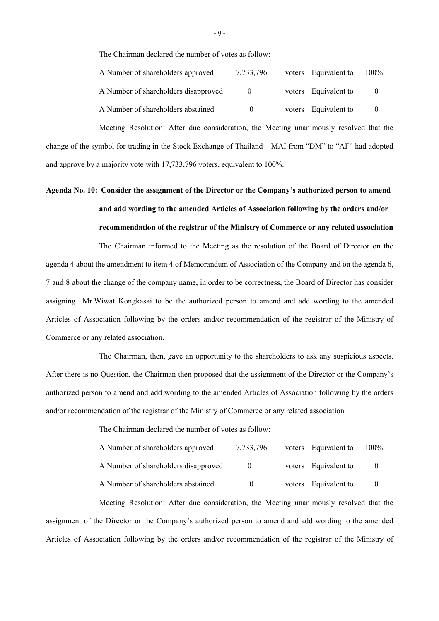The Chairman declared the number of votes as follow:

| A Number of shareholders approved    | 17, 733, 796 | voters Equivalent to | $100\%$  |
|--------------------------------------|--------------|----------------------|----------|
| A Number of shareholders disapproved | $\mathbf{0}$ | voters Equivalent to | $\theta$ |
| A Number of shareholders abstained   | $^{\circ}$   | voters Equivalent to | $\theta$ |

Meeting Resolution: After due consideration, the Meeting unanimously resolved that the change of the symbol for trading in the Stock Exchange of Thailand – MAI from "DM" to "AF" had adopted and approve by a majority vote with 17,733,796 voters, equivalent to 100%.

# **Agenda No. 10: Consider the assignment of the Director or the Company's authorized person to amend and add wording to the amended Articles of Association following by the orders and/or recommendation of the registrar of the Ministry of Commerce or any related association**

The Chairman informed to the Meeting as the resolution of the Board of Director on the agenda 4 about the amendment to item 4 of Memorandum of Association of the Company and on the agenda 6, 7 and 8 about the change of the company name, in order to be correctness, the Board of Director has consider assigning Mr.Wiwat Kongkasai to be the authorized person to amend and add wording to the amended Articles of Association following by the orders and/or recommendation of the registrar of the Ministry of Commerce or any related association.

The Chairman, then, gave an opportunity to the shareholders to ask any suspicious aspects. After there is no Question, the Chairman then proposed that the assignment of the Director or the Company's authorized person to amend and add wording to the amended Articles of Association following by the orders and/or recommendation of the registrar of the Ministry of Commerce or any related association

The Chairman declared the number of votes as follow:

| A Number of shareholders approved    | 17, 733, 796 | voters Equivalent to | $100\%$ |
|--------------------------------------|--------------|----------------------|---------|
| A Number of shareholders disapproved | $\mathbf{0}$ | voters Equivalent to |         |
| A Number of shareholders abstained   | $\mathbf{0}$ | voters Equivalent to |         |

Meeting Resolution: After due consideration, the Meeting unanimously resolved that the assignment of the Director or the Company's authorized person to amend and add wording to the amended Articles of Association following by the orders and/or recommendation of the registrar of the Ministry of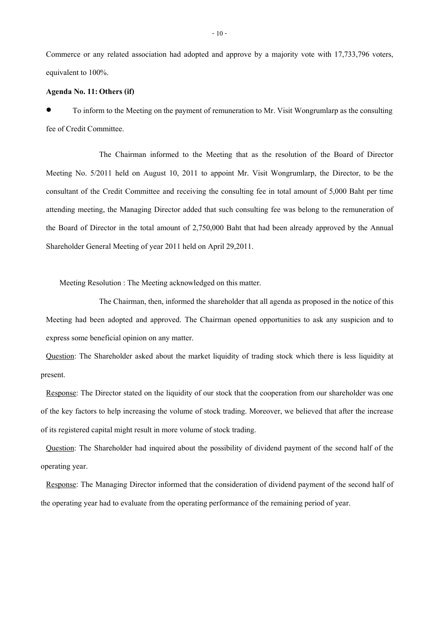Commerce or any related association had adopted and approve by a majority vote with 17,733,796 voters, equivalent to 100%.

### **Agenda No. 11:Others (if)**

 To inform to the Meeting on the payment of remuneration to Mr. Visit Wongrumlarp as the consulting fee of Credit Committee.

The Chairman informed to the Meeting that as the resolution of the Board of Director Meeting No. 5/2011 held on August 10, 2011 to appoint Mr. Visit Wongrumlarp, the Director, to be the consultant of the Credit Committee and receiving the consulting fee in total amount of 5,000 Baht per time attending meeting, the Managing Director added that such consulting fee was belong to the remuneration of the Board of Director in the total amount of 2,750,000 Baht that had been already approved by the Annual Shareholder General Meeting of year 2011 held on April 29,2011.

Meeting Resolution : The Meeting acknowledged on this matter.

The Chairman, then, informed the shareholder that all agenda as proposed in the notice of this Meeting had been adopted and approved. The Chairman opened opportunities to ask any suspicion and to express some beneficial opinion on any matter.

Question: The Shareholder asked about the market liquidity of trading stock which there is less liquidity at present.

Response: The Director stated on the liquidity of our stock that the cooperation from our shareholder was one of the key factors to help increasing the volume of stock trading. Moreover, we believed that after the increase of its registered capital might result in more volume of stock trading.

Question: The Shareholder had inquired about the possibility of dividend payment of the second half of the operating year.

Response: The Managing Director informed that the consideration of dividend payment of the second half of the operating year had to evaluate from the operating performance of the remaining period of year.